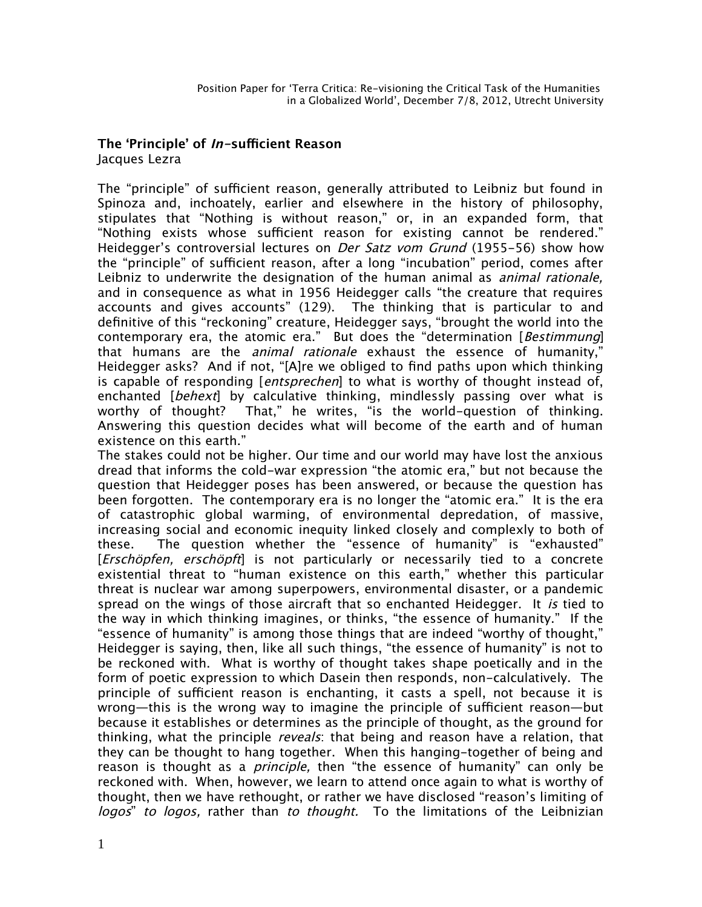## **The 'Principle' of In-sufficient Reason** Jacques Lezra

The "principle" of sufficient reason, generally attributed to Leibniz but found in Spinoza and, inchoately, earlier and elsewhere in the history of philosophy, stipulates that "Nothing is without reason," or, in an expanded form, that "Nothing exists whose sufficient reason for existing cannot be rendered." Heidegger's controversial lectures on *Der Satz vom Grund* (1955–56) show how the "principle" of sufficient reason, after a long "incubation" period, comes after Leibniz to underwrite the designation of the human animal as *animal rationale*, and in consequence as what in 1956 Heidegger calls "the creature that requires accounts and gives accounts" (129). The thinking that is particular to and defnitive of this "reckoning" creature, Heidegger says, "brought the world into the contemporary era, the atomic era." But does the "determination [Bestimmung] that humans are the *animal rationale* exhaust the essence of humanity," Heidegger asks? And if not, "[A]re we obliged to fnd paths upon which thinking is capable of responding [*entsprechen*] to what is worthy of thought instead of, enchanted [behext] by calculative thinking, mindlessly passing over what is worthy of thought? That," he writes, "is the world-question of thinking. Answering this question decides what will become of the earth and of human existence on this earth."

The stakes could not be higher. Our time and our world may have lost the anxious dread that informs the cold-war expression "the atomic era," but not because the question that Heidegger poses has been answered, or because the question has been forgotten. The contemporary era is no longer the "atomic era." It is the era of catastrophic global warming, of environmental depredation, of massive, increasing social and economic inequity linked closely and complexly to both of these. The question whether the "essence of humanity" is "exhausted" [*Erschöpfen, erschöpft*] is not particularly or necessarily tied to a concrete existential threat to "human existence on this earth," whether this particular threat is nuclear war among superpowers, environmental disaster, or a pandemic spread on the wings of those aircraft that so enchanted Heidegger. It is tied to the way in which thinking imagines, or thinks, "the essence of humanity." If the "essence of humanity" is among those things that are indeed "worthy of thought," Heidegger is saying, then, like all such things, "the essence of humanity" is not to be reckoned with. What is worthy of thought takes shape poetically and in the form of poetic expression to which Dasein then responds, non-calculatively. The principle of sufficient reason is enchanting, it casts a spell, not because it is wrong—this is the wrong way to imagine the principle of sufficient reason—but because it establishes or determines as the principle of thought, as the ground for thinking, what the principle *reveals*: that being and reason have a relation, that they can be thought to hang together. When this hanging-together of being and reason is thought as a *principle*, then "the essence of humanity" can only be reckoned with. When, however, we learn to attend once again to what is worthy of thought, then we have rethought, or rather we have disclosed "reason's limiting of logos" to logos, rather than to thought. To the limitations of the Leibnizian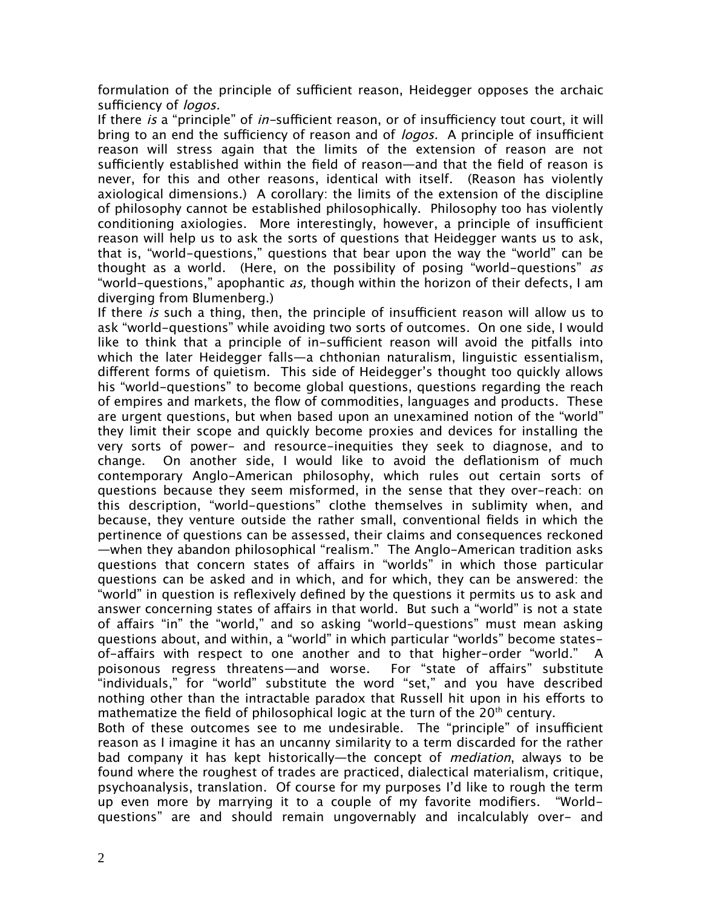formulation of the principle of sufficient reason, Heidegger opposes the archaic sufficiency of *logos.* 

If there is a "principle" of in-sufficient reason, or of insufficiency tout court, it will bring to an end the sufficiency of reason and of *logos.* A principle of insufficient reason will stress again that the limits of the extension of reason are not sufficiently established within the field of reason—and that the field of reason is never, for this and other reasons, identical with itself. (Reason has violently axiological dimensions.) A corollary: the limits of the extension of the discipline of philosophy cannot be established philosophically. Philosophy too has violently conditioning axiologies. More interestingly, however, a principle of insufficient reason will help us to ask the sorts of questions that Heidegger wants us to ask, that is, "world-questions," questions that bear upon the way the "world" can be thought as a world. (Here, on the possibility of posing "world-questions" as "world-questions," apophantic as, though within the horizon of their defects, I am diverging from Blumenberg.)

If there is such a thing, then, the principle of insufficient reason will allow us to ask "world-questions" while avoiding two sorts of outcomes. On one side, I would like to think that a principle of in-sufficient reason will avoid the pitfalls into which the later Heidegger falls—a chthonian naturalism, linguistic essentialism, diferent forms of quietism. This side of Heidegger's thought too quickly allows his "world-questions" to become global questions, questions regarding the reach of empires and markets, the fow of commodities, languages and products. These are urgent questions, but when based upon an unexamined notion of the "world" they limit their scope and quickly become proxies and devices for installing the very sorts of power- and resource-inequities they seek to diagnose, and to change. On another side, I would like to avoid the defationism of much contemporary Anglo-American philosophy, which rules out certain sorts of questions because they seem misformed, in the sense that they over-reach: on this description, "world-questions" clothe themselves in sublimity when, and because, they venture outside the rather small, conventional felds in which the pertinence of questions can be assessed, their claims and consequences reckoned —when they abandon philosophical "realism." The Anglo-American tradition asks questions that concern states of affairs in "worlds" in which those particular questions can be asked and in which, and for which, they can be answered: the "world" in question is refexively defned by the questions it permits us to ask and answer concerning states of afairs in that world. But such a "world" is not a state of affairs "in" the "world," and so asking "world-questions" must mean asking questions about, and within, a "world" in which particular "worlds" become statesof-afairs with respect to one another and to that higher-order "world." A poisonous regress threatens—and worse. For "state of afairs" substitute "individuals," for "world" substitute the word "set," and you have described nothing other than the intractable paradox that Russell hit upon in his eforts to mathematize the field of philosophical logic at the turn of the  $20<sup>th</sup>$  century.

Both of these outcomes see to me undesirable. The "principle" of insufficient reason as I imagine it has an uncanny similarity to a term discarded for the rather bad company it has kept historically—the concept of *mediation*, always to be found where the roughest of trades are practiced, dialectical materialism, critique, psychoanalysis, translation. Of course for my purposes I'd like to rough the term up even more by marrying it to a couple of my favorite modifers. "Worldquestions" are and should remain ungovernably and incalculably over- and